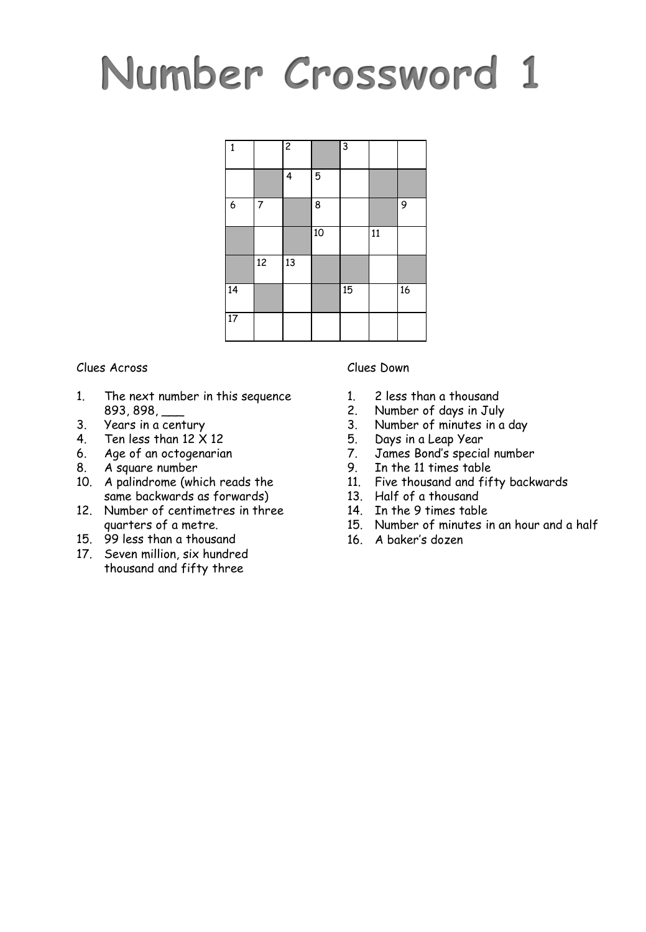# **Number Crossword 1**

| 1  |    | $\overline{2}$ |    | $\overline{3}$ |    |    |
|----|----|----------------|----|----------------|----|----|
|    |    | 4              | 5  |                |    |    |
| 6  | 7  |                | 8  |                |    | 9  |
|    |    |                | 10 |                | 11 |    |
|    | 12 | 13             |    |                |    |    |
| 14 |    |                |    | 15             |    | 16 |
| 17 |    |                |    |                |    |    |

#### Clues Across

- 1. The next number in this sequence 893, 898, \_\_\_
- 3. Years in a century
- 4. Ten less than  $12 \times 12$
- 6. Age of an octogenarian
- 8. A square number
- 10. A palindrome (which reads the same backwards as forwards)
- 12. Number of centimetres in three quarters of a metre.
- 15. 99 less than a thousand
- 17. Seven million, six hundred thousand and fifty three

Clues Down

- 
- 1. 2 less than a thousand<br>2. Number of days in July Number of days in July
- 3. Number of minutes in a day
- 
- 5. Days in a Leap Year<br>7. James Bond's specio 7. James Bond's special number
- 9. In the 11 times table
- 11. Five thousand and fifty backwards
- 13. Half of a thousand
- 14. In the 9 times table
- 15. Number of minutes in an hour and a half
- 16. A baker's dozen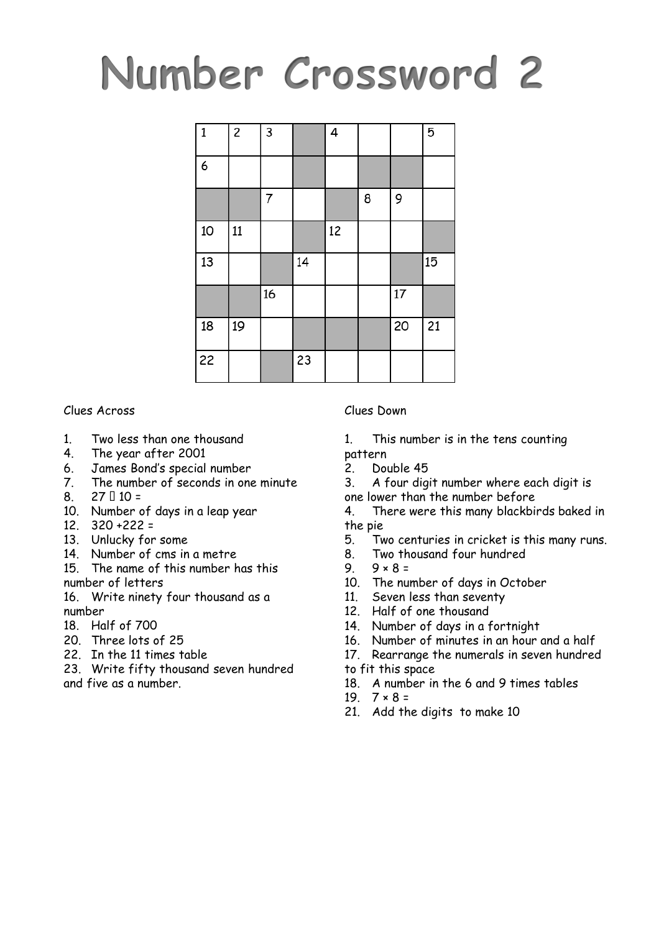## **Number Crossword 2**

| $\mathbf{1}$ | $\overline{c}$ | 3  |    | 4  |   |    | 5  |
|--------------|----------------|----|----|----|---|----|----|
| 6            |                |    |    |    |   |    |    |
|              |                | 7  |    |    | 8 | 9  |    |
| 10           | 11             |    |    | 12 |   |    |    |
| 13           |                |    | 14 |    |   |    | 15 |
|              |                | 16 |    |    |   | 17 |    |
| 18           | 19             |    |    |    |   | 20 | 21 |
| 22           |                |    | 23 |    |   |    |    |

Clues Across

- 1. Two less than one thousand
- 4. The year after 2001
- 6. James Bond's special number
- 7. The number of seconds in one minute
- 8.  $27 \square 10 =$
- 10. Number of days in a leap year
- 12. 320 +222 =
- 13. Unlucky for some
- 14. Number of cms in a metre
- 15. The name of this number has this number of letters

16. Write ninety four thousand as a number

- 18. Half of 700
- 20. Three lots of 25
- 22. In the 11 times table

23. Write fifty thousand seven hundred and five as a number.

#### Clues Down

- 1. This number is in the tens counting
- pattern
- 2. Double 45

3. A four digit number where each digit is one lower than the number before

- 4. There were this many blackbirds baked in the pie
- 5. Two centuries in cricket is this many runs.
- 8. Two thousand four hundred
- 9.  $9 \times 8 =$
- 10. The number of days in October
- 11. Seven less than seventy
- 12. Half of one thousand
- 14. Number of days in a fortnight
- 16. Number of minutes in an hour and a half
- 17. Rearrange the numerals in seven hundred

to fit this space

- 18. A number in the 6 and 9 times tables
- 19.  $7 \times 8 =$
- 21. Add the digits to make 10